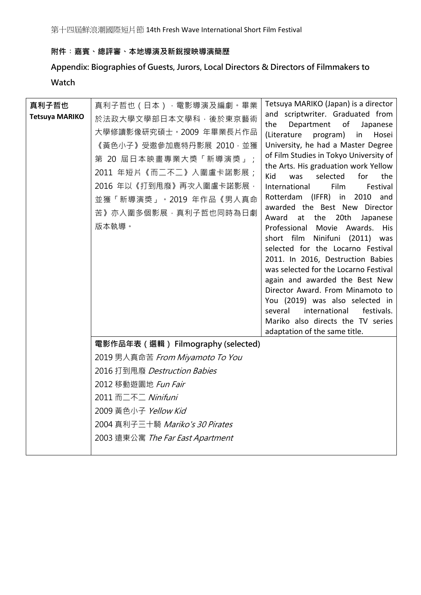第十四屆鮮浪潮國際短片節 14th Fresh Wave International Short Film Festival

## **附件︰嘉賓、總評審、本地導演及新銳搜映導演簡歷**

**Appendix: Biographies of Guests, Jurors, Local Directors & Directors of Filmmakers to Watch**

| 真利子哲也                 | 真利子哲也(日本),電影導演及編劇。畢業                 | Tetsuya MARIKO (Japan) is a director                                          |
|-----------------------|--------------------------------------|-------------------------------------------------------------------------------|
| <b>Tetsuya MARIKO</b> | 於法政大學文學部日本文學科,後於東京藝術                 | and scriptwriter. Graduated from                                              |
|                       | 大學修讀影像研究碩士。2009 年畢業長片作品              | the<br>Department<br>of<br>Japanese<br>(Literature<br>program)<br>Hosei<br>in |
|                       | 《黃色小子》受邀參加鹿特丹影展 2010·並獲              | University, he had a Master Degree                                            |
|                       | 第 20 屆日本映畫專業大獎「新導演獎」;                | of Film Studies in Tokyo University of                                        |
|                       | 2011 年短片《而二不二》入圍盧卡諾影展;               | the Arts. His graduation work Yellow                                          |
|                       |                                      | Kid<br>selected<br>for<br>the<br>was                                          |
|                       | 2016 年以《打到甩廢》再次入圍盧卡諾影展,              | International<br>Film<br>Festival                                             |
|                       | 並獲「新導演獎」。2019 年作品《男人真命               | Rotterdam (IFFR) in 2010 and<br>awarded the Best New Director                 |
|                       | 苦》亦入圍多個影展,真利子哲也同時為日劇                 | at the 20th<br>Award<br>Japanese                                              |
|                       | 版本執導。                                | Professional<br>Movie<br>Awards.<br>His                                       |
|                       |                                      | short film<br>Ninifuni (2011)<br>was                                          |
|                       |                                      | selected for the Locarno Festival                                             |
|                       |                                      | 2011. In 2016, Destruction Babies<br>was selected for the Locarno Festival    |
|                       |                                      | again and awarded the Best New                                                |
|                       |                                      | Director Award. From Minamoto to                                              |
|                       |                                      | You (2019) was also selected in                                               |
|                       |                                      | several<br>international<br>festivals.                                        |
|                       |                                      | Mariko also directs the TV series                                             |
|                       |                                      | adaptation of the same title.                                                 |
|                       | 電影作品年表 ( 選輯 ) Filmography (selected) |                                                                               |
|                       | 2019 男人真命苦 From Miyamoto To You      |                                                                               |
|                       | 2016 打到甩廢 Destruction Babies         |                                                                               |
|                       | 2012 移動遊園地 Fun Fair                  |                                                                               |
|                       | 2011 而二不二 Ninifuni                   |                                                                               |
|                       | 2009 黃色小子 Yellow Kid                 |                                                                               |
|                       | 2004 真利子三十騎 Mariko's 30 Pirates      |                                                                               |
|                       | 2003 遠東公寓 The Far East Apartment     |                                                                               |
|                       |                                      |                                                                               |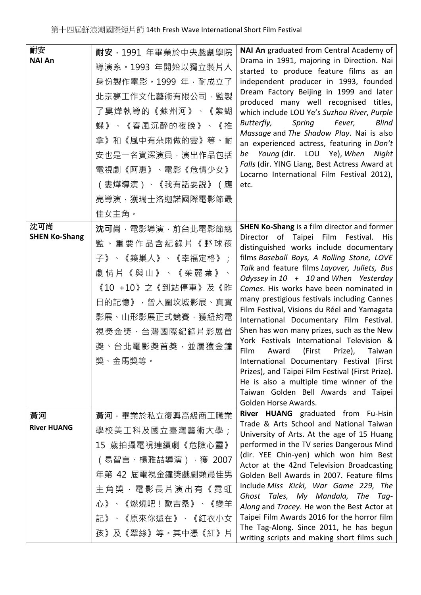| 耐安<br><b>NAI An</b>         | 耐安, 1991 年畢業於中央戲劇學院<br>導演系。1993 年開始以獨立製片人<br>身份製作電影。1999 年, 耐成立了<br>北京夢工作文化藝術有限公司,監製<br>了婁燁執導的《蘇州河》、《紫蝴<br>蝶》、《春風沉醉的夜晚》、《推<br>拿》和《風中有朵雨做的雲》等。耐<br>安也是一名資深演員,演出作品包括<br>電視劇《阿惠》、電影《危情少女》<br>(婁燁導演)、《我有話要說》(應<br>亮導演, 獲瑞士洛迦諾國際電影節最<br>佳女主角。 | NAI An graduated from Central Academy of<br>Drama in 1991, majoring in Direction. Nai<br>started to produce feature films as an<br>independent producer in 1993, founded<br>Dream Factory Beijing in 1999 and later<br>produced many well recognised titles,<br>which include LOU Ye's Suzhou River, Purple<br>Butterfly,<br>Spring<br>Fever,<br>Blind<br>Massage and The Shadow Play. Nai is also<br>an experienced actress, featuring in Don't<br>Young (dir. LOU Ye), When Night<br>be<br>Falls (dir. YING Liang, Best Actress Award at<br>Locarno International Film Festival 2012),<br>etc.                                                                                                                                                                                                                               |
|-----------------------------|------------------------------------------------------------------------------------------------------------------------------------------------------------------------------------------------------------------------------------------|--------------------------------------------------------------------------------------------------------------------------------------------------------------------------------------------------------------------------------------------------------------------------------------------------------------------------------------------------------------------------------------------------------------------------------------------------------------------------------------------------------------------------------------------------------------------------------------------------------------------------------------------------------------------------------------------------------------------------------------------------------------------------------------------------------------------------------|
| 沈可尚<br><b>SHEN Ko-Shang</b> | 沈可尚, 電影導演, 前台北電影節總<br>監。重要作品含紀錄片《野球孩<br>子》、《築巢人》、《幸福定格》;<br>劇情片《與山》、《茱麗葉》<br>《10 +10》之《到站停車》及《昨<br>日的記憶》, 曾入圍坎城影展、真實<br>影展、山形影展正式競賽,獲紐約電<br>視獎金獎、台灣國際紀錄片影展首<br>獎、台北電影獎首獎,並屢獲金鐘<br>獎、金馬獎等。                                                | <b>SHEN Ko-Shang</b> is a film director and former<br>Director of Taipei Film Festival.<br>His<br>distinguished works include documentary<br>films Baseball Boys, A Rolling Stone, LOVE<br>Talk and feature films Layover, Juliets, Bus<br>Odyssey in $10 + 10$ and When Yesterday<br>Comes. His works have been nominated in<br>many prestigious festivals including Cannes<br>Film Festival, Visions du Réel and Yamagata<br>International Documentary Film Festival.<br>Shen has won many prizes, such as the New<br>York Festivals International Television &<br>Film<br>(First<br>Taiwan<br>Award<br>Prize),<br>International Documentary Festival (First<br>Prizes), and Taipei Film Festival (First Prize).<br>He is also a multiple time winner of the<br>Taiwan Golden Bell Awards and Taipei<br>Golden Horse Awards. |
| 黃河<br><b>River HUANG</b>    | 黃河·畢業於私立復興高級商工職業<br>學校美工科及國立臺灣藝術大學;<br>15 歲拍攝電視連續劇《危險心靈》<br>(易智言、楊雅喆導演),獲 2007<br>年第 42 屆電視金鐘獎戲劇類最佳男<br>主角獎,電影長片演出有《霓虹<br>心》、《燃燒吧!歐吉桑》、《變羊<br>記》、《原來你還在》、《紅衣小女<br>孩》及《翠絲》等。其中憑《紅》片                                                       | River HUANG graduated from Fu-Hsin<br>Trade & Arts School and National Taiwan<br>University of Arts. At the age of 15 Huang<br>performed in the TV series Dangerous Mind<br>(dir. YEE Chin-yen) which won him Best<br>Actor at the 42nd Television Broadcasting<br>Golden Bell Awards in 2007. Feature films<br>include Miss Kicki, War Game 229, The<br>Ghost Tales, My Mandala, The Tag-<br>Along and Tracey. He won the Best Actor at<br>Taipei Film Awards 2016 for the horror film<br>The Tag-Along. Since 2011, he has begun<br>writing scripts and making short films such                                                                                                                                                                                                                                              |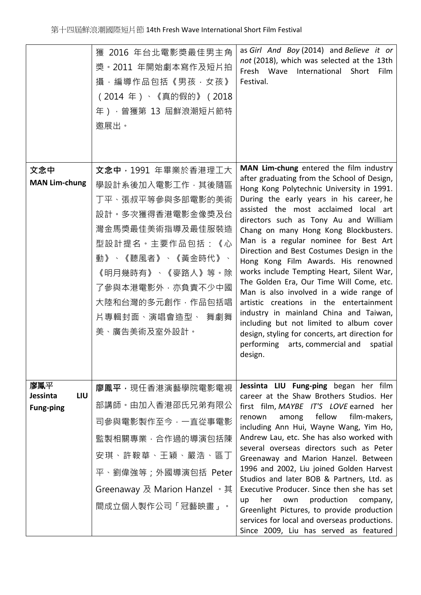|                                            | 獲 2016 年台北電影獎最佳男主角<br>獎·2011 年開始劇本寫作及短片拍<br>攝,編導作品包括《男孩·女孩》<br>(2014年)、《真的假的》 (2018<br>年), 曾獲第 13 屆鮮浪潮短片節特<br>邀展出。                                                                                                                               | as Girl And Boy (2014) and Believe it or<br>not (2018), which was selected at the 13th<br>Fresh Wave International Short<br>Film<br>Festival.                                                                                                                                                                                                                                                                                                                                                                                                                                                                                                                                                                                                                                                                            |
|--------------------------------------------|--------------------------------------------------------------------------------------------------------------------------------------------------------------------------------------------------------------------------------------------------|--------------------------------------------------------------------------------------------------------------------------------------------------------------------------------------------------------------------------------------------------------------------------------------------------------------------------------------------------------------------------------------------------------------------------------------------------------------------------------------------------------------------------------------------------------------------------------------------------------------------------------------------------------------------------------------------------------------------------------------------------------------------------------------------------------------------------|
| 文念中<br><b>MAN Lim-chung</b>                | <b>文念中,1991</b> 年畢業於香港理工大<br>學設計系後加入電影工作,其後隨區<br>丁平、張叔平等參與多部電影的美術<br>設計。多次獲得香港電影金像獎及台<br>灣金馬獎最佳美術指導及最佳服裝造<br>型設計提名。主要作品包括:《心<br>動》、《聽風者》、《黃金時代》、<br>《明月幾時有》、《麥路人》等。除<br>了參與本港電影外,亦負責不少中國<br>大陸和台灣的多元創作,作品包括唱<br>片專輯封面、演唱會造型、 舞劇舞<br>美、廣告美術及室外設計。 | MAN Lim-chung entered the film industry<br>after graduating from the School of Design,<br>Hong Kong Polytechnic University in 1991.<br>During the early years in his career, he<br>assisted the most acclaimed local art<br>directors such as Tony Au and William<br>Chang on many Hong Kong Blockbusters.<br>Man is a regular nominee for Best Art<br>Direction and Best Costumes Design in the<br>Hong Kong Film Awards. His renowned<br>works include Tempting Heart, Silent War,<br>The Golden Era, Our Time Will Come, etc.<br>Man is also involved in a wide range of<br>artistic creations in the entertainment<br>industry in mainland China and Taiwan,<br>including but not limited to album cover<br>design, styling for concerts, art direction for<br>performing arts, commercial and<br>spatial<br>design. |
| 廖鳳平<br>LIU<br>Jessinta<br><b>Fung-ping</b> | 廖鳳平,現任香港演藝學院電影電視<br>部講師。由加入香港邵氏兄弟有限公<br>司參與電影製作至今,一直從事電影<br>監製相關專業,合作過的導演包括陳<br>安琪、許鞍華、王穎、嚴浩、區丁<br>平、劉偉強等;外國導演包括 Peter<br>Greenaway 及 Marion Hanzel 。其<br>間成立個人製作公司「冠藝映畫」。                                                                       | Jessinta LIU Fung-ping began her film<br>career at the Shaw Brothers Studios. Her<br>first film, MAYBE IT'S LOVE earned her<br>among fellow<br>film-makers,<br>renown<br>including Ann Hui, Wayne Wang, Yim Ho,<br>Andrew Lau, etc. She has also worked with<br>several overseas directors such as Peter<br>Greenaway and Marion Hanzel. Between<br>1996 and 2002, Liu joined Golden Harvest<br>Studios and later BOB & Partners, Ltd. as<br>Executive Producer. Since then she has set<br>up her own production company,<br>Greenlight Pictures, to provide production<br>services for local and overseas productions.<br>Since 2009, Liu has served as featured                                                                                                                                                        |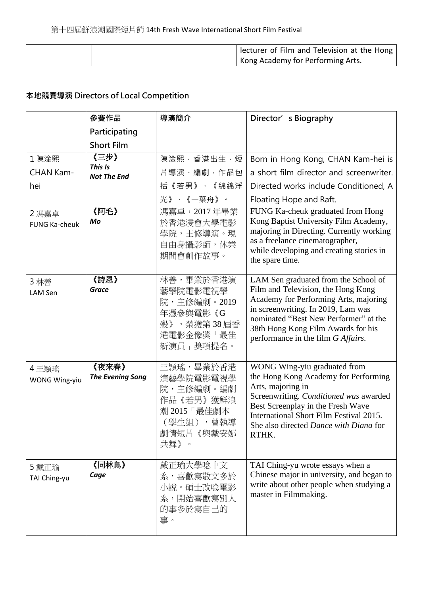|  | lecturer of Film and Television at the Hong |
|--|---------------------------------------------|
|  | Kong Academy for Performing Arts.           |

## **本地競賽導演 Directors of Local Competition**

|                               | 參賽作品                             | 導演簡介                                                                                                 | Director' s Biography                                                                                                                                                                                                                                                          |
|-------------------------------|----------------------------------|------------------------------------------------------------------------------------------------------|--------------------------------------------------------------------------------------------------------------------------------------------------------------------------------------------------------------------------------------------------------------------------------|
|                               | Participating                    |                                                                                                      |                                                                                                                                                                                                                                                                                |
|                               | <b>Short Film</b>                |                                                                                                      |                                                                                                                                                                                                                                                                                |
| 1陳淦熙                          | 《三步》                             | 陳淦熙,香港出生,短                                                                                           | Born in Hong Kong, CHAN Kam-hei is                                                                                                                                                                                                                                             |
| CHAN Kam-                     | This Is<br><b>Not The End</b>    | 片導演、編劇, 作品包                                                                                          | a short film director and screenwriter.                                                                                                                                                                                                                                        |
| hei                           |                                  | 括《若男》、《綿綿浮                                                                                           | Directed works include Conditioned, A                                                                                                                                                                                                                                          |
|                               |                                  | 光》、《一葉舟》。                                                                                            | Floating Hope and Raft.                                                                                                                                                                                                                                                        |
| 2 馮嘉卓<br>FUNG Ka-cheuk        | 《阿毛》<br>Mo                       | 馮嘉卓, 2017年畢業<br>於香港浸會大學電影<br>學院,主修導演。現<br>自由身攝影師,休業<br>期間會創作故事。                                      | FUNG Ka-cheuk graduated from Hong<br>Kong Baptist University Film Academy,<br>majoring in Directing. Currently working<br>as a freelance cinematographer,<br>while developing and creating stories in<br>the spare time.                                                       |
| 3 林善<br>LAM Sen               | 《詩恩》<br><b>Grace</b>             | 林善,畢業於香港演<br>藝學院電影電視學<br>院,主修編劇。2019<br>年憑參與電影《G<br>殺》, 榮獲第38屆香<br>港電影金像獎「最佳<br>新演員」獎項提名。            | LAM Sen graduated from the School of<br>Film and Television, the Hong Kong<br>Academy for Performing Arts, majoring<br>in screenwriting. In 2019, Lam was<br>nominated "Best New Performer" at the<br>38th Hong Kong Film Awards for his<br>performance in the film G Affairs. |
| 4 王頴瑤<br><b>WONG Wing-yiu</b> | 《夜來春》<br><b>The Evening Song</b> | 王頴瑤,畢業於香港<br>演藝學院電影電視學<br>院,主修編劇。編劇<br>作品《若男》獲鮮浪<br>潮 2015「最佳劇本」<br>(學生組), 曾執導<br>劇情短片 《與戴安娜<br>共舞》。 | WONG Wing-yiu graduated from<br>the Hong Kong Academy for Performing<br>Arts, majoring in<br>Screenwriting. Conditioned was awarded<br>Best Screenplay in the Fresh Wave<br>International Short Film Festival 2015.<br>She also directed Dance with Diana for<br>RTHK.         |
| 5 戴正瑜<br>TAI Ching-yu         | 《同林鳥》<br>Cage                    | 戴正瑜大學唸中文<br>系,喜歡寫散文多於<br>小說。碩士改唸電影<br>系,開始喜歡寫別人<br>的事多於寫自己的<br>事。                                    | TAI Ching-yu wrote essays when a<br>Chinese major in university, and began to<br>write about other people when studying a<br>master in Filmmaking.                                                                                                                             |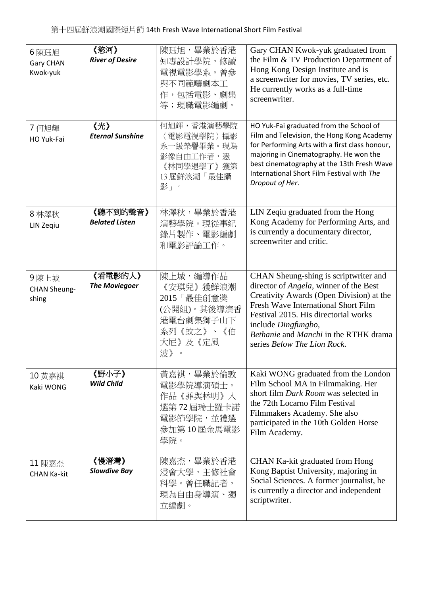| 6陳珏旭<br><b>Gary CHAN</b><br>Kwok-yuk | 《慾河》<br><b>River of Desire</b>    | 陳珏旭,畢業於香港<br>知專設計學院,修讀<br>電視電影學系。曾參<br>與不同範疇劇本工<br>作,包括電影、劇集<br>等;現職電影編劇。                                 | Gary CHAN Kwok-yuk graduated from<br>the Film & TV Production Department of<br>Hong Kong Design Institute and is<br>a screenwriter for movies, TV series, etc.<br>He currently works as a full-time<br>screenwriter.                                                                                      |
|--------------------------------------|-----------------------------------|-----------------------------------------------------------------------------------------------------------|-----------------------------------------------------------------------------------------------------------------------------------------------------------------------------------------------------------------------------------------------------------------------------------------------------------|
| 7 何旭輝<br>HO Yuk-Fai                  | 《光》<br><b>Eternal Sunshine</b>    | 何旭輝,香港演藝學院<br>(電影電視學院)攝影<br>系一級榮譽畢業。現為<br>影像自由工作者,憑<br>《林同學退學了》獲第<br>13 屆鮮浪潮「最佳攝<br>影」。                   | HO Yuk-Fai graduated from the School of<br>Film and Television, the Hong Kong Academy<br>for Performing Arts with a first class honour,<br>majoring in Cinematography. He won the<br>best cinematography at the 13th Fresh Wave<br>International Short Film Festival with The<br>Dropout of Her.          |
| 8 林澤秋<br>LIN Zeqiu                   | 《聽不到的聲音》<br><b>Belated Listen</b> | 林澤秋,畢業於香港<br>演藝學院。現從事紀<br>錄片製作、電影編劇<br>和電影評論工作。                                                           | LIN Zeqiu graduated from the Hong<br>Kong Academy for Performing Arts, and<br>is currently a documentary director,<br>screenwriter and critic.                                                                                                                                                            |
| 9陳上城<br><b>CHAN Sheung-</b><br>shing | 《看電影的人》<br><b>The Moviegoer</b>   | 陳上城,編導作品<br>《安琪兒》獲鮮浪潮<br>2015「最佳創意獎」<br>(公開組)。其後導演香<br>港電台劇集獅子山下<br>系列《蚊之》、《伯<br>大尼》及《定風<br>波》<br>$\circ$ | CHAN Sheung-shing is scriptwriter and<br>director of Angela, winner of the Best<br>Creativity Awards (Open Division) at the<br>Fresh Wave International Short Film<br>Festival 2015. His directorial works<br>include Dingfungbo,<br>Bethanie and Manchi in the RTHK drama<br>series Below The Lion Rock. |
| 10 黃嘉祺<br>Kaki WONG                  | 《野小子》<br><b>Wild Child</b>        | 黃嘉祺,畢業於倫敦<br>電影學院導演碩士。<br>作品《菲與林明》入<br>選第72屆瑞士羅卡諾<br>電影節學院,並獲選<br>參加第10屆金馬電影<br>學院。                       | Kaki WONG graduated from the London<br>Film School MA in Filmmaking. Her<br>short film <i>Dark Room</i> was selected in<br>the 72th Locarno Film Festival<br>Filmmakers Academy. She also<br>participated in the 10th Golden Horse<br>Film Academy.                                                       |
| 11 陳嘉杰<br><b>CHAN Ka-kit</b>         | 《慢潛灣》<br><b>Slowdive Bay</b>      | 陳嘉杰,畢業於香港<br>浸會大學,主修社會<br>科學。曾任職記者,<br>現為自由身導演、獨<br>立編劇。                                                  | CHAN Ka-kit graduated from Hong<br>Kong Baptist University, majoring in<br>Social Sciences. A former journalist, he<br>is currently a director and independent<br>scriptwriter.                                                                                                                           |